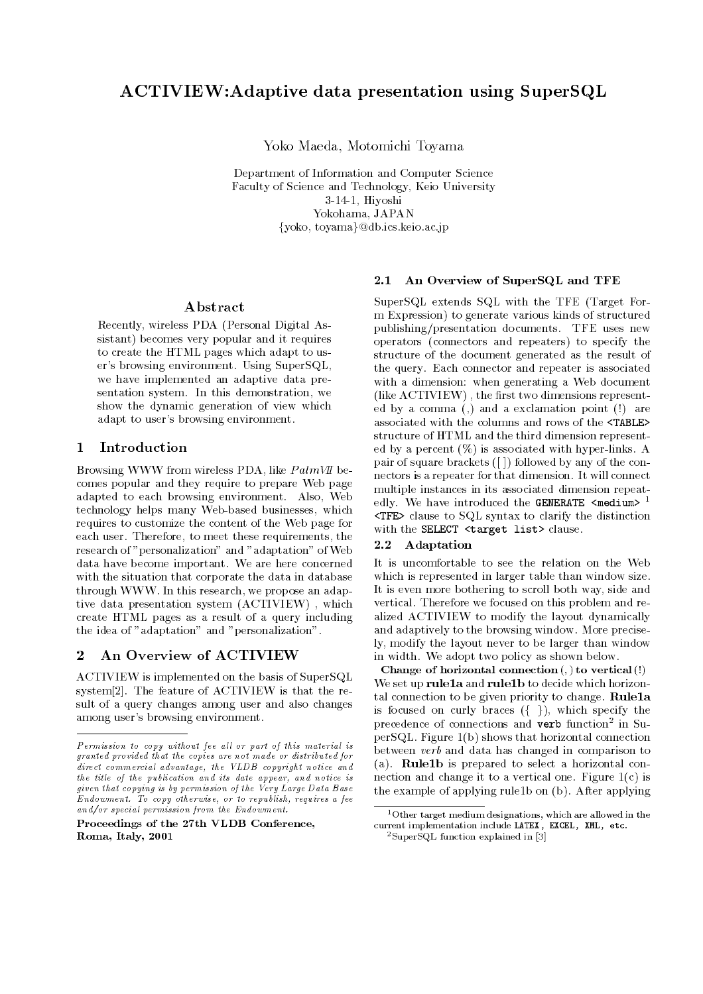Yoko Maeda, Motomichi Toyama

Department of Information and Computer Science Faculty of Science and Technology, Keio University 3-14-1, Hiyoshi Yokohama, JAPAN fyoko, toyamag@db.ics.keio.ac.jp

## Abstract

Recently, wireless PDA (Personal Digital Assistant) becomes very popular and it requires to create the HTML pages which adapt to user's browsing environment. Using SuperSQL, we have implemented an adaptive data presentation system. In this demonstration, we show the dynamic generation of view which adapt to user's browsing environment.

## 1 Introduction

Browsing WWW from wireless PDA, like  $PalmVI$  becomes popular and they require to prepare Web page adapted to each browsing environment. Also, Web technology helps many Web-based businesses, which requires to customize the content of the Web page for each user. Therefore, to meet these requirements, the research of "personalization" and "adaptation" of Web data have become important. We are here concerned with the situation that corporate the data in database through WWW. In this research, we propose an adaptive data presentation system (ACTIVIEW) , which create HTML pages as a result of a query including the idea of "adaptation" and "personalization".

## 2 An Overview of ACTIVIEW

ACTIVIEW is implemented on the basis of SuperSQL system[2]. The feature of ACTIVIEW is that the result of a query changes among user and also changes among user's browsing environment.

#### An Overview of SuperSQL and TFE  $2.1$

SuperSQL extends SQL with the TFE (Target For m Expression) to generate various kinds of structured publishing/presentation documents. TFE uses new operators (connectors and repeaters) to specify the structure of the document generated as the result of the query. Each connector and repeater is associated with a dimension: when generating a Web document (like ACTIVIEW), the first two dimensions represented by a comma (,) and a exclamation point (!) are associated with the columns and rows of the <TABLE> structure of HTML and the third dimension represented by a percent (%) is associated with hyper-links. A pair of square brackets ([ ]) followed by any of the connectors is a repeater for that dimension. It will connect multiple instances in its associated dimension repeatedly. We have introduced the GENERATE  $\leq m$ edium $> 1$ <TFE> clause to SQL syntax to clarify the distinction with the SELECT <target list> clause.

### 2.2 Adaptation

It is uncomfortable to see the relation on the Web which is represented in larger table than window size. It is even more bothering to scroll both way, side and vertical. Therefore we focused on this problem and realized ACTIVIEW to modify the layout dynamically and adaptively to the browsing window. More precisely, modify the layout never to be larger than window in width. We adopt two policy as shown below.

Change of horizontal connection (; ) to vertical (!) We set up rule1a and rule1b to decide which horizontal connection to be given priority to change. Rule1a is focused on curly braces  $({\{\})$ , which specify the precedence of connections and **verb** function<sup>-</sup> in SuperSQL. Figure 1(b) shows that horizontal connection between verb and data has changed in comparison to (a). Rule1b is prepared to select a horizontal connection and change it to a vertical one. Figure 1(c) is the example of applying rule1b on (b). After applying

 $Permission$  to copy without fee all or part of this material is granted provided that the copies are not made or distributed fordirect commercial advantage, the VLDB copyright notice andthe title of the publication and its date appear, and notice isgiven that copying is by permission of the Very Large Data BaseEndowment. To copy otherwise, or to republish, requires a feeand/or special permission from the Endowment.

Proceedings of the 27th VLDB Conference,Roma, Italy, 2001

<sup>1</sup>Other target medium designations, which are allowed in thecurrent implementation include LATEX, EXCEL, XML, etc.

<sup>2</sup>SuperSQL function explained in [3]